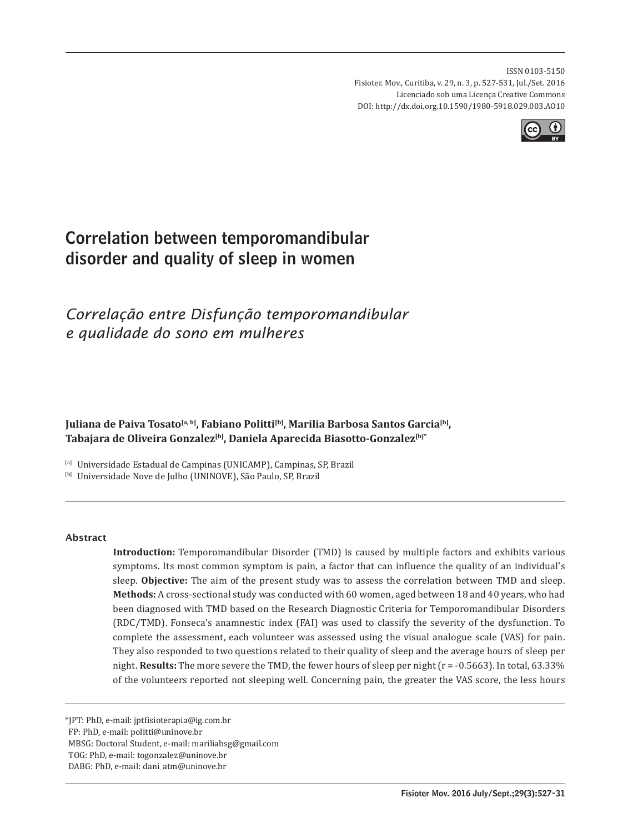ISSN 0103-5150 Fisioter. Mov., Curitiba, v. 29, n. 3, p. 527-531, Jul./Set. 2016 Licenciado sob uma Licença Creative Commons DOI: http://dx.doi.org.10.1590/1980-5918.029.003.AO10



# Correlation between temporomandibular disorder and quality of sleep in women

## *Correlação entre Disfunção temporomandibular e qualidade do sono em mulheres*

Juliana de Paiva Tosato<sup>[a, b]</sup>, Fabiano Politti<sup>[b]</sup>, Marilia Barbosa Santos Garcia<sup>[b]</sup>, Tabajara de Oliveira Gonzalez<sup>[b]</sup>, Daniela Aparecida Biasotto-Gonzalez<sup>[b]\*</sup>

[a] Universidade Estadual de Campinas (UNICAMP), Campinas, SP, Brazil

[b] Universidade Nove de Julho (UNINOVE), São Paulo, SP, Brazil

#### Abstract

**Introduction:** Temporomandibular Disorder (TMD) is caused by multiple factors and exhibits various symptoms. Its most common symptom is pain, a factor that can influence the quality of an individual's sleep. **Objective:** The aim of the present study was to assess the correlation between TMD and sleep. **Methods:** A cross-sectional study was conducted with 60 women, aged between 18 and 40 years, who had been diagnosed with TMD based on the Research Diagnostic Criteria for Temporomandibular Disorders (RDC/TMD). Fonseca's anamnestic index (FAI) was used to classify the severity of the dysfunction. To complete the assessment, each volunteer was assessed using the visual analogue scale (VAS) for pain. They also responded to two questions related to their quality of sleep and the average hours of sleep per night. **Results:** The more severe the TMD, the fewer hours of sleep per night ( $r = -0.5663$ ). In total, 63.33% of the volunteers reported not sleeping well. Concerning pain, the greater the VAS score, the less hours

\*JPT: PhD, e-mail: jptfisioterapia@ig.com.br

FP: PhD, e-mail: politti@uninove.br

MBSG: Doctoral Student, e-mail: mariliabsg@gmail.com

TOG: PhD, e-mail: togonzalez@uninove.br

DABG: PhD, e-mail: dani\_atm@uninove.br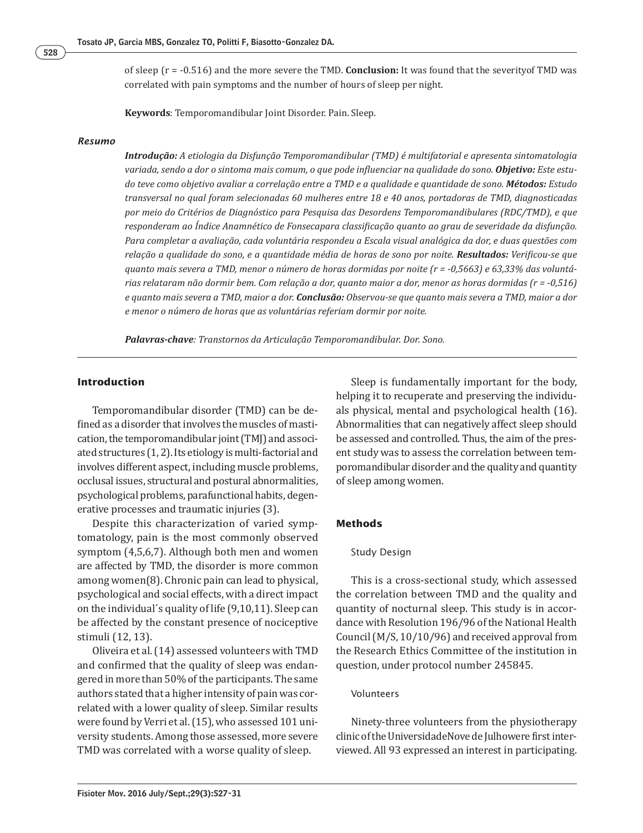of sleep (r = -0.516) and the more severe the TMD. **Conclusion:** It was found that the severityof TMD was correlated with pain symptoms and the number of hours of sleep per night.

**Keywords**: Temporomandibular Joint Disorder. Pain. Sleep.

#### *Resumo*

*Introdução: A etiologia da Disfunção Temporomandibular (TMD) é multifatorial e apresenta sintomatologia variada, sendo a dor o sintoma mais comum, o que pode inϔluenciar na qualidade do sono. Objetivo: Este estudo teve como objetivo avaliar a correlação entre a TMD e a qualidade e quantidade de sono. Métodos: Estudo transversal no qual foram selecionadas 60 mulheres entre 18 e 40 anos, portadoras de TMD, diagnosticadas por meio do Critérios de Diagnóstico para Pesquisa das Desordens Temporomandibulares (RDC/TMD), e que responderam ao Índice Anamnético de Fonsecapara classiϔicação quanto ao grau de severidade da disfunção. Para completar a avaliação, cada voluntária respondeu a Escala visual analógica da dor, e duas questões com relação a qualidade do sono, e a quantidade média de horas de sono por noite. Resultados: Veriϔicou-se que quanto mais severa a TMD, menor o número de horas dormidas por noite (r = -0,5663) e 63,33% das voluntárias relataram não dormir bem. Com relação a dor, quanto maior a dor, menor as horas dormidas (r = -0,516) e quanto mais severa a TMD, maior a dor. Conclusão: Observou-se que quanto mais severa a TMD, maior a dor e menor o número de horas que as voluntárias referiam dormir por noite.*

*Palavras-chave: Transtornos da Articulação Temporomandibular. Dor. Sono.*

#### **Introduction**

Temporomandibular disorder (TMD) can be defined as a disorder that involves the muscles of mastication, the temporomandibular joint (TMJ) and associated structures (1, 2). Its etiology is multi-factorial and involves different aspect, including muscle problems, occlusal issues, structural and postural abnormalities, psychological problems, parafunctional habits, degenerative processes and traumatic injuries (3).

Despite this characterization of varied symptomatology, pain is the most commonly observed symptom (4,5,6,7). Although both men and women are affected by TMD, the disorder is more common among women(8). Chronic pain can lead to physical, psychological and social effects, with a direct impact on the individual´s quality of life (9,10,11). Sleep can be affected by the constant presence of nociceptive stimuli (12, 13).

Oliveira et al. (14) assessed volunteers with TMD and confirmed that the quality of sleep was endangered in more than 50% of the participants. The same authors stated that a higher intensity of pain was correlated with a lower quality of sleep. Similar results were found by Verri et al. (15), who assessed 101 university students. Among those assessed, more severe TMD was correlated with a worse quality of sleep.

Sleep is fundamentally important for the body, helping it to recuperate and preserving the individuals physical, mental and psychological health (16). Abnormalities that can negatively affect sleep should be assessed and controlled. Thus, the aim of the present study was to assess the correlation between temporomandibular disorder and the quality and quantity of sleep among women.

#### **Methods**

#### Study Design

This is a cross-sectional study, which assessed the correlation between TMD and the quality and quantity of nocturnal sleep. This study is in accordance with Resolution 196/96 of the National Health Council (M/S, 10/10/96) and received approval from the Research Ethics Committee of the institution in question, under protocol number 245845.

#### Volunteers

Ninety-three volunteers from the physiotherapy clinic of the UniversidadeNove de Julhowere first interviewed. All 93 expressed an interest in participating.

528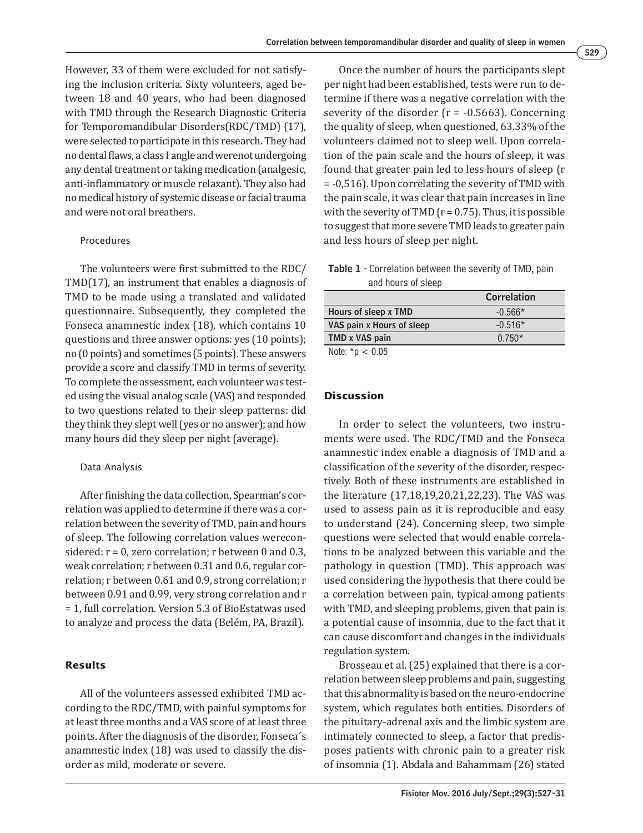However, 33 of them were excluded for not satisfying the inclusion criteria. Sixty volunteers, aged between 18 and 40 years, who had been diagnosed with TMD through the Research Diagnostic Criteria for Temporomandibular Disorders(RDC/TMD) (17), were selected to participate in this research. They had no dental flaws, a class I angle and werenot undergoing any dental treatment or taking medication (analgesic, anti-inflammatory or muscle relaxant). They also had no medical history of systemic disease or facial trauma and were not oral breathers.

#### Procedures

The volunteers were first submitted to the RDC/ TMD(17), an instrument that enables a diagnosis of TMD to be made using a translated and validated questionnaire. Subsequently, they completed the Fonseca anamnestic index (18), which contains 10 questions and three answer options: yes (10 points); no (0 points) and sometimes (5 points). These answers provide a score and classify TMD in terms of severity. To complete the assessment, each volunteer was tested using the visual analog scale (VAS) and responded to two questions related to their sleep patterns: did they think they slept well (yes or no answer); and how many hours did they sleep per night (average).

#### Data Analysis

After finishing the data collection, Spearman's correlation was applied to determine if there was a correlation between the severity of TMD, pain and hours of sleep. The following correlation values wereconsidered:  $r = 0$ , zero correlation; r between 0 and 0.3, weak correlation; r between 0.31 and 0.6, regular correlation; r between 0.61 and 0.9, strong correlation; r between 0.91 and 0.99, very strong correlation and r = 1, full correlation. Version 5.3 of BioEstatwas used to analyze and process the data (Belém, PA, Brazil).

## **Results**

All of the volunteers assessed exhibited TMD according to the RDC/TMD, with painful symptoms for at least three months and a VAS score of at least three points. After the diagnosis of the disorder, Fonseca´s anamnestic index (18) was used to classify the disorder as mild, moderate or severe.

Once the number of hours the participants slept per night had been established, tests were run to determine if there was a negative correlation with the severity of the disorder  $(r = -0.5663)$ . Concerning the quality of sleep, when questioned, 63.33% of the volunteers claimed not to sleep well. Upon correlation of the pain scale and the hours of sleep, it was found that greater pain led to less hours of sleep (r = -0,516). Upon correlating the severity of TMD with the pain scale, it was clear that pain increases in line with the severity of TMD ( $r = 0.75$ ). Thus, it is possible to suggest that more severe TMD leads to greater pain and less hours of sleep per night.

Table 1 - Correlation between the severity of TMD, pain and hours of sleep

|                           | Correlation |
|---------------------------|-------------|
| Hours of sleep x TMD      | $-0.566*$   |
| VAS pain x Hours of sleep | $-0.516*$   |
| TMD x VAS pain            | $0.750*$    |
| Note: $*$ n $<$ 0.05      |             |

Note: \*p < 0.05

## **Discussion**

In order to select the volunteers, two instruments were used. The RDC/TMD and the Fonseca anamnestic index enable a diagnosis of TMD and a classification of the severity of the disorder, respectively. Both of these instruments are established in the literature (17,18,19,20,21,22,23). The VAS was used to assess pain as it is reproducible and easy to understand (24). Concerning sleep, two simple questions were selected that would enable correlations to be analyzed between this variable and the pathology in question (TMD). This approach was used considering the hypothesis that there could be a correlation between pain, typical among patients with TMD, and sleeping problems, given that pain is a potential cause of insomnia, due to the fact that it can cause discomfort and changes in the individuals regulation system.

Brosseau et al. (25) explained that there is a correlation between sleep problems and pain, suggesting that this abnormality is based on the neuro-endocrine system, which regulates both entities. Disorders of the pituitary-adrenal axis and the limbic system are intimately connected to sleep, a factor that predisposes patients with chronic pain to a greater risk of insomnia (1). Abdala and Bahammam (26) stated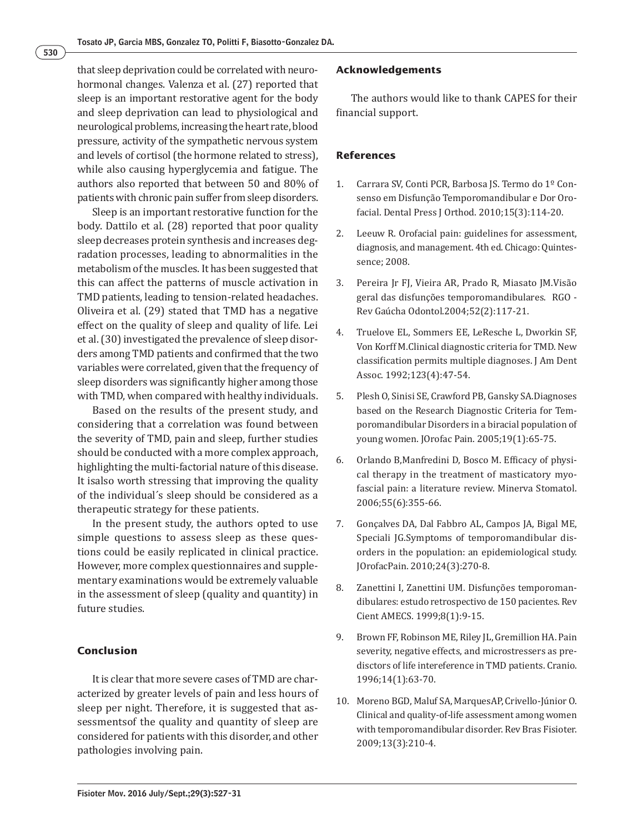that sleep deprivation could be correlated with neurohormonal changes. Valenza et al. (27) reported that sleep is an important restorative agent for the body and sleep deprivation can lead to physiological and neurological problems, increasing the heart rate, blood pressure, activity of the sympathetic nervous system and levels of cortisol (the hormone related to stress), while also causing hyperglycemia and fatigue. The authors also reported that between 50 and 80% of patients with chronic pain suffer from sleep disorders.

Sleep is an important restorative function for the body. Dattilo et al. (28) reported that poor quality sleep decreases protein synthesis and increases degradation processes, leading to abnormalities in the metabolism of the muscles. It has been suggested that this can affect the patterns of muscle activation in TMD patients, leading to tension-related headaches. Oliveira et al. (29) stated that TMD has a negative effect on the quality of sleep and quality of life. Lei et al. (30) investigated the prevalence of sleep disorders among TMD patients and confirmed that the two variables were correlated, given that the frequency of sleep disorders was significantly higher among those with TMD, when compared with healthy individuals.

Based on the results of the present study, and considering that a correlation was found between the severity of TMD, pain and sleep, further studies should be conducted with a more complex approach, highlighting the multi-factorial nature of this disease. It isalso worth stressing that improving the quality of the individual´s sleep should be considered as a therapeutic strategy for these patients.

In the present study, the authors opted to use simple questions to assess sleep as these questions could be easily replicated in clinical practice. However, more complex questionnaires and supplementary examinations would be extremely valuable in the assessment of sleep (quality and quantity) in future studies.

## **Conclusion**

It is clear that more severe cases of TMD are characterized by greater levels of pain and less hours of sleep per night. Therefore, it is suggested that assessmentsof the quality and quantity of sleep are considered for patients with this disorder, and other pathologies involving pain.

## **Acknowledgements**

The authors would like to thank CAPES for their financial support.

## **References**

- 1. Carrara SV, Conti PCR, Barbosa JS. Termo do 1º Consenso em Disfunção Temporomandibular e Dor Orofacial. Dental Press J Orthod. 2010;15(3):114-20.
- 2. Leeuw R. Orofacial pain: guidelines for assessment, diagnosis, and management. 4th ed. Chicago: Quintessence; 2008.
- 3. Pereira Jr FJ, Vieira AR, Prado R, Miasato JM.Visão geral das disfunções temporomandibulares. RGO - Rev Gaúcha Odontol.2004;52(2):117-21.
- 4. Truelove EL, Sommers EE, LeResche L, Dworkin SF, Von Korff M.Clinical diagnostic criteria for TMD. New classification permits multiple diagnoses. J Am Dent Assoc. 1992;123(4):47-54.
- 5. Plesh O, Sinisi SE, Crawford PB, Gansky SA.Diagnoses based on the Research Diagnostic Criteria for Temporomandibular Disorders in a biracial population of young women. JOrofac Pain. 2005;19(1):65-75.
- 6. Orlando B, Manfredini D, Bosco M. Efficacy of physical therapy in the treatment of masticatory myofascial pain: a literature review. Minerva Stomatol. 2006;55(6):355-66.
- 7. Gonçalves DA, Dal Fabbro AL, Campos JA, Bigal ME, Speciali JG.Symptoms of temporomandibular disorders in the population: an epidemiological study. JOrofacPain. 2010;24(3):270-8.
- 8. Zanettini I, Zanettini UM. Disfunções temporomandibulares: estudo retrospectivo de 150 pacientes. Rev Cient AMECS. 1999;8(1):9-15.
- 9. Brown FF, Robinson ME, Riley JL, Gremillion HA. Pain severity, negative effects, and microstressers as predisctors of life intereference in TMD patients. Cranio. 1996;14(1):63-70.
- 10. Moreno BGD, Maluf SA, MarquesAP, Crivello-Júnior O. Clinical and quality-of-life assessment among women with temporomandibular disorder. Rev Bras Fisioter. 2009;13(3):210-4.

530